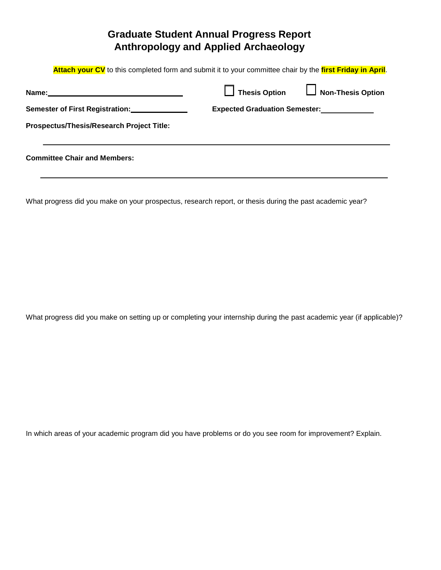## **Graduate Student Annual Progress Report Anthropology and Applied Archaeology**

**Attach your CV** to this completed form and submit it to your committee chair by the **first Friday in April**.

| Name:                                          | Thesis Option                        | Non-Thesis Option |
|------------------------------------------------|--------------------------------------|-------------------|
| Semester of First Registration: ______________ | <b>Expected Graduation Semester:</b> |                   |
| Prospectus/Thesis/Research Project Title:      |                                      |                   |
|                                                |                                      |                   |

**Committee Chair and Members:**

What progress did you make on your prospectus, research report, or thesis during the past academic year?

What progress did you make on setting up or completing your internship during the past academic year (if applicable)?

In which areas of your academic program did you have problems or do you see room for improvement? Explain.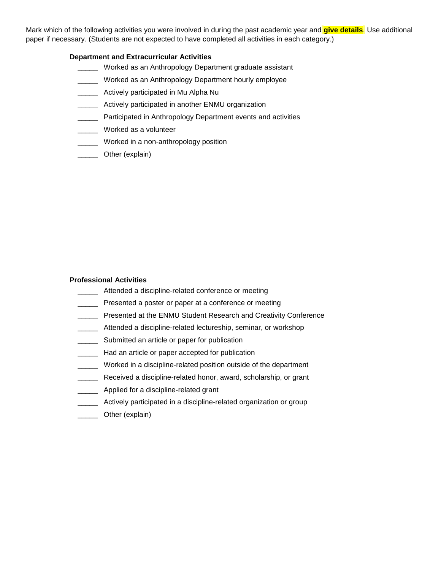Mark which of the following activities you were involved in during the past academic year and **give details**. Use additional paper if necessary. (Students are not expected to have completed all activities in each category.)

## **Department and Extracurricular Activities**

- **Worked as an Anthropology Department graduate assistant**
- \_\_\_\_\_ Worked as an Anthropology Department hourly employee
- \_\_\_\_\_ Actively participated in Mu Alpha Nu
- \_\_\_\_\_ Actively participated in another ENMU organization
- **\_\_\_\_\_** Participated in Anthropology Department events and activities
- \_\_\_\_\_ Worked as a volunteer
- \_\_\_\_\_\_ Worked in a non-anthropology position
- \_\_\_\_\_ Other (explain)

## **Professional Activities**

- **\_\_\_\_\_** Attended a discipline-related conference or meeting
- **Figure 2** Presented a poster or paper at a conference or meeting
- **Number 2018** Presented at the ENMU Student Research and Creativity Conference
- **\_\_\_\_\_** Attended a discipline-related lectureship, seminar, or workshop
- \_\_\_\_\_ Submitted an article or paper for publication
- **LECCCC** Had an article or paper accepted for publication
- \_\_\_\_\_ Worked in a discipline-related position outside of the department
- \_\_\_\_\_ Received a discipline-related honor, award, scholarship, or grant
- \_\_\_\_\_\_ Applied for a discipline-related grant
- **Mange 2015** Actively participated in a discipline-related organization or group
- \_\_\_\_\_ Other (explain)